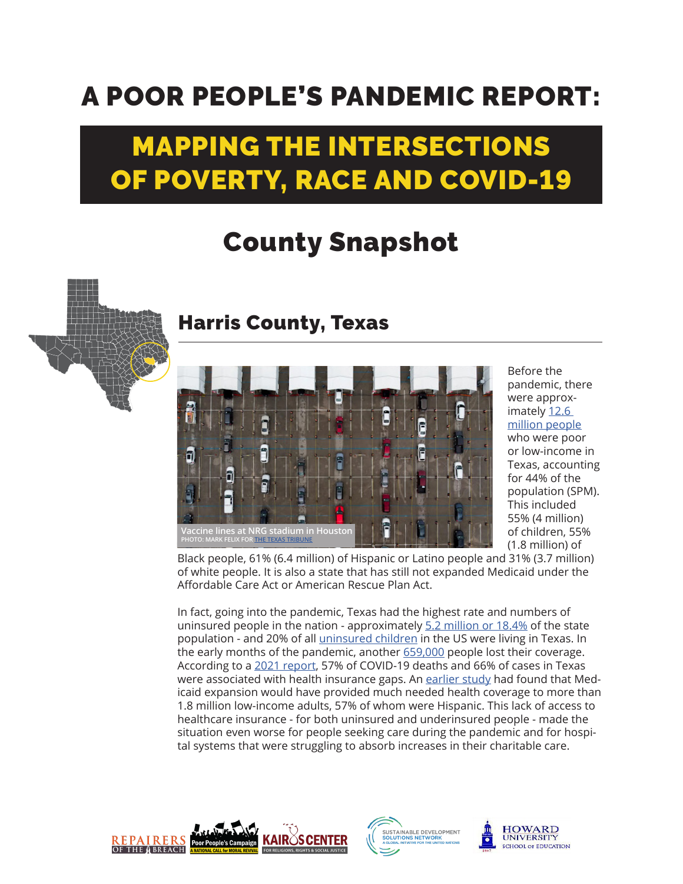## A POOR PEOPLE'S PANDEMIC REPORT:

## MAPPING THE INTERSECTIONS OF POVERTY, RACE AND COVID-19

## County Snapshot



## Harris County, Texas



Before the pandemic, there were approximately 12.6 [million people](https://www.poorpeoplescampaign.org/wp-content/uploads/2020/03/PPC-state-fact-sheet-Texas.pdf)

who were poor or low-income in Texas, accounting for 44% of the population (SPM). This included 55% (4 million) of children, 55% (1.8 million) of

Black people, 61% (6.4 million) of Hispanic or Latino people and 31% (3.7 million) of white people. It is also a state that has still not expanded Medicaid under the Affordable Care Act or American Rescue Plan Act.

In fact, going into the pandemic, Texas had the highest rate and numbers of uninsured people in the nation - approximately [5.2 million or 18.4%](https://www.houstonchronicle.com/business/article/Texas-again-leads-the-nation-in-uninsured-rates-15573305.php) of the state population - and 20% of all *uninsured children* in the US were living in Texas. In the early months of the pandemic, another [659,000](https://www.texastribune.org/2020/07/14/texans-health-insurance-jobs-pandemic/) people lost their coverage. According to a [2021 report](https://familiesusa.org/wp-content/uploads/2021/03/COV-2021-64_Loss-of-Lives-Report.pdf), 57% of COVID-19 deaths and 66% of cases in Texas were associated with health insurance gaps. An [earlier study](https://familiesusa.org/wp-content/uploads/2019/09/MCD_Morehouse-COC-HE-report_TX_Hisp_final_web.pdf) had found that Medicaid expansion would have provided much needed health coverage to more than 1.8 million low-income adults, 57% of whom were Hispanic. This lack of access to healthcare insurance - for both uninsured and underinsured people - made the situation even worse for people seeking care during the pandemic and for hospital systems that were struggling to absorb increases in their charitable care.